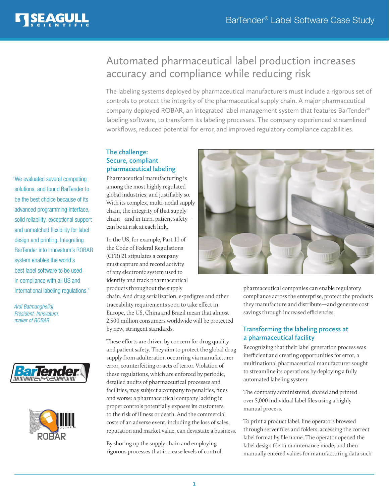

# Automated pharmaceutical label production increases accuracy and compliance while reducing risk

The labeling systems deployed by pharmaceutical manufacturers must include a rigorous set of controls to protect the integrity of the pharmaceutical supply chain. A major pharmaceutical company deployed ROBAR, an integrated label management system that features BarTender® labeling software, to transform its labeling processes. The company experienced streamlined workflows, reduced potential for error, and improved regulatory compliance capabilities.

## **The challenge: Secure, compliant pharmaceutical labeling**

Pharmaceutical manufacturing is among the most highly regulated global industries, and justifiably so. With its complex, multi-nodal supply chain, the integrity of that supply chain—and in turn, patient safety can be at risk at each link.

In the US, for example, Part 11 of the Code of Federal Regulations (CFR) 21 stipulates a company must capture and record activity of any electronic system used to identify and track pharmaceutical products throughout the supply

chain. And drug serialization, e-pedigree and other traceability requirements soon to take effect in Europe, the US, China and Brazil mean that almost 2,500 million consumers worldwide will be protected by new, stringent standards.

These efforts are driven by concern for drug quality and patient safety. They aim to protect the global drug supply from adulteration occurring via manufacturer error, counterfeiting or acts of terror. Violation of these regulations, which are enforced by periodic, detailed audits of pharmaceutical processes and facilities, may subject a company to penalties, fines and worse: a pharmaceutical company lacking in proper controls potentially exposes its customers to the risk of illness or death. And the commercial costs of an adverse event, including the loss of sales, reputation and market value, can devastate a business.

By shoring up the supply chain and employing rigorous processes that increase levels of control,



pharmaceutical companies can enable regulatory compliance across the enterprise, protect the products they manufacture and distribute—and generate cost savings through increased efficiencies.

### **Transforming the labeling process at a pharmaceutical facility**

Recognizing that their label generation process was inefficient and creating opportunities for error, a multinational pharmaceutical manufacturer sought to streamline its operations by deploying a fully automated labeling system.

The company administered, shared and printed over 5,000 individual label files using a highly manual process.

To print a product label, line operators browsed through server files and folders, accessing the correct label format by file name. The operator opened the label design file in maintenance mode, and then manually entered values for manufacturing data such

"We evaluated several competing solutions, and found BarTender to be the best choice because of its advanced programming interface, solid reliability, exceptional support and unmatched flexibility for label design and printing. Integrating BarTender into Innovatum's ROBAR system enables the world's best label software to be used in compliance with all US and international labeling regulations."

*Ardi Batmanghelidj President, Innovatum, maker of ROBAR*